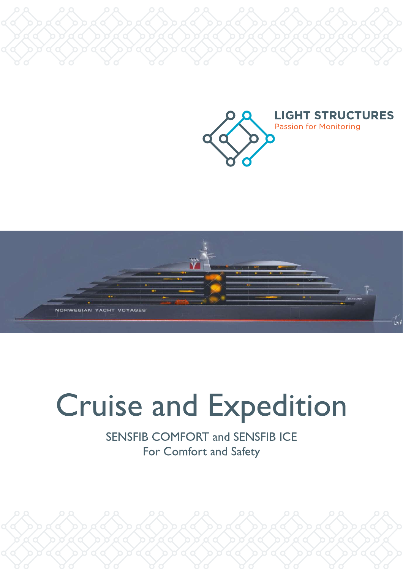



# **Cruise and Expedition**

**SENSFIB COMFORT and SENSFIB ICE** For Comfort and Safety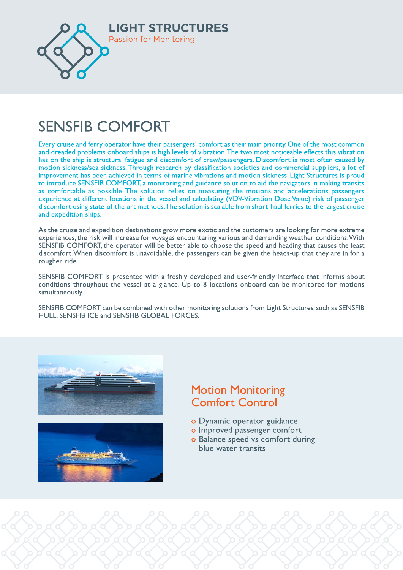

## **SENSFIB COMFORT**

Every cruise and ferry operator have their passengers' comfort as their main priority. One of the most common and dreaded problems onboard ships is high levels of vibration. The two most noticeable effects this vibration has on the ship is structural fatigue and discomfort of crew/passengers. Discomfort is most often caused by motion sickness/sea sickness. Through research by classification societies and commercial suppliers, a lot of improvement has been achieved in terms of marine vibrations and motion sickness. Light Structures is proud to introduce SENSFIB COMFORT, a monitoring and guidance solution to aid the navigators in making transits as comfortable as possible. The solution relies on measuring the motions and accelerations passengers experience at different locations in the vessel and calculating (VDV-Vibration Dose Value) risk of passenger discomfort using state-of-the-art methods. The solution is scalable from short-haul ferries to the largest cruise and expedition ships.

As the cruise and expedition destinations grow more exotic and the customers are looking for more extreme experiences, the risk will increase for voyages encountering various and demanding weather conditions. With SENSFIB COMFORT, the operator will be better able to choose the speed and heading that causes the least discomfort. When discomfort is unavoidable, the passengers can be given the heads-up that they are in for a rougher ride.

SENSFIB COMFORT is presented with a freshly developed and user-friendly interface that informs about conditions throughout the vessel at a glance. Up to 8 locations onboard can be monitored for motions simultaneously.

SENSFIB COMFORT can be combined with other monitoring solutions from Light Structures, such as SENSFIB HULL, SENSFIB ICE and SENSFIB GLOBAL FORCES.





### **Motion Monitoring Comfort Control**

- o Dynamic operator guidance
- o Improved passenger comfort
- o Balance speed vs comfort during blue water transits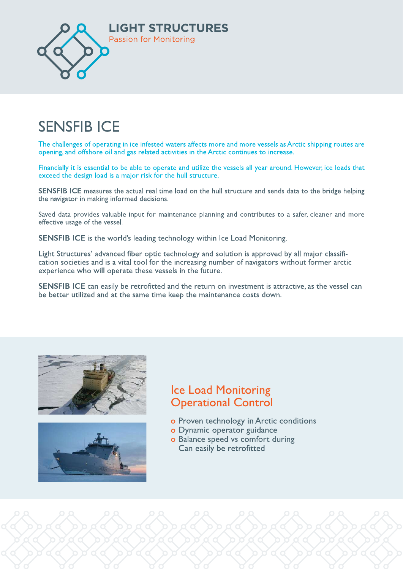

## **SENSFIB ICE**

The challenges of operating in ice infested waters affects more and more vessels as Arctic shipping routes are opening, and offshore oil and gas related activities in the Arctic continues to increase.

Financially it is essential to be able to operate and utilize the vessels all year around. However, ice loads that exceed the design load is a major risk for the hull structure.

SENSFIB ICE measures the actual real time load on the hull structure and sends data to the bridge helping the navigator in making informed decisions.

Saved data provides valuable input for maintenance planning and contributes to a safer, cleaner and more effective usage of the vessel.

**SENSFIB ICE** is the world's leading technology within Ice Load Monitoring.

Light Structures' advanced fiber optic technology and solution is approved by all major classification societies and is a vital tool for the increasing number of navigators without former arctic experience who will operate these vessels in the future.

SENSFIB ICE can easily be retrofitted and the return on investment is attractive, as the vessel can be better utilized and at the same time keep the maintenance costs down.





#### **Ice Load Monitoring Operational Control**

- o Proven technology in Arctic conditions
- o Dynamic operator guidance
- o Balance speed vs comfort during Can easily be retrofitted